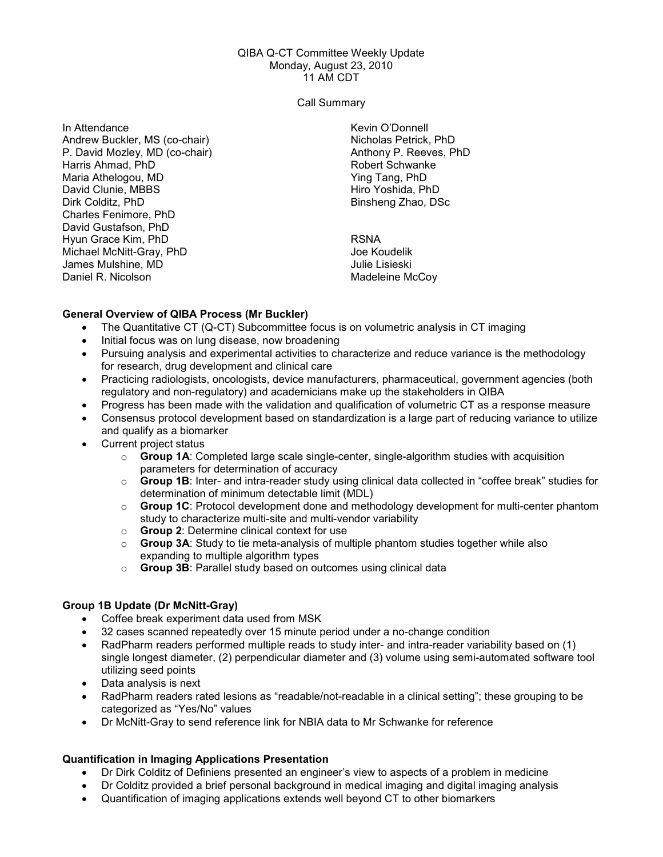#### QIBA Q-CT Committee Weekly Update Monday, August 23, 2010 11 AM CDT

Call Summary

In Attendance Andrew Buckler, MS (co-chair) P. David Mozley, MD (co-chair) Harris Ahmad, PhD Maria Athelogou, MD David Clunie, MBBS Dirk Colditz, PhD Charles Fenimore, PhD David Gustafson, PhD Hyun Grace Kim, PhD Michael McNitt-Gray, PhD James Mulshine, MD Daniel R. Nicolson

Kevin O'Donnell Nicholas Petrick, PhD Anthony P. Reeves, PhD Robert Schwanke Ying Tang, PhD Hiro Yoshida, PhD Binsheng Zhao, DSc

RSNA Joe Koudelik Julie Lisieski Madeleine McCoy

### General Overview of QIBA Process (Mr Buckler)

- The Quantitative CT (Q-CT) Subcommittee focus is on volumetric analysis in CT imaging
- Initial focus was on lung disease, now broadening
- Pursuing analysis and experimental activities to characterize and reduce variance is the methodology for research, drug development and clinical care
- Practicing radiologists, oncologists, device manufacturers, pharmaceutical, government agencies (both regulatory and non-regulatory) and academicians make up the stakeholders in QIBA
- Progress has been made with the validation and qualification of volumetric CT as a response measure
- Consensus protocol development based on standardization is a large part of reducing variance to utilize and qualify as a biomarker
- Current project status
	- $\circ$  Group 1A: Completed large scale single-center, single-algorithm studies with acquisition parameters for determination of accuracy
	- $\circ$  Group 1B: Inter- and intra-reader study using clinical data collected in "coffee break" studies for determination of minimum detectable limit (MDL)
	- Group 1C: Protocol development done and methodology development for multi-center phantom study to characterize multi-site and multi-vendor variability
	- o Group 2: Determine clinical context for use
	- $\circ$  Group 3A: Study to tie meta-analysis of multiple phantom studies together while also expanding to multiple algorithm types
	- o Group 3B: Parallel study based on outcomes using clinical data

# Group 1B Update (Dr McNitt-Gray)

- Coffee break experiment data used from MSK
- 32 cases scanned repeatedly over 15 minute period under a no-change condition
- RadPharm readers performed multiple reads to study inter- and intra-reader variability based on (1) single longest diameter, (2) perpendicular diameter and (3) volume using semi-automated software tool utilizing seed points
- Data analysis is next
- RadPharm readers rated lesions as "readable/not-readable in a clinical setting"; these grouping to be categorized as "Yes/No" values
- Dr McNitt-Gray to send reference link for NBIA data to Mr Schwanke for reference

# Quantification in Imaging Applications Presentation

- Dr Dirk Colditz of Definiens presented an engineer's view to aspects of a problem in medicine
- Dr Colditz provided a brief personal background in medical imaging and digital imaging analysis
- Quantification of imaging applications extends well beyond CT to other biomarkers